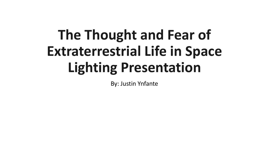## **The Thought and Fear of Extraterrestrial Life in Space Lighting Presentation**

By: Justin Ynfante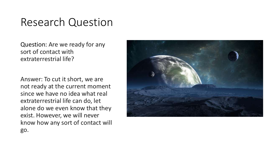## Research Question

Question: Are we ready for any sort of contact with extraterrestrial life?

Answer: To cut it short, we are not ready at the current moment since we have no idea what real extraterrestrial life can do, let alone do we even know that they exist. However, we will never know how any sort of contact will go.

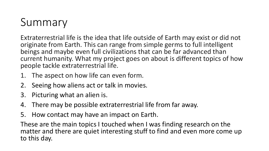## Summary

Extraterrestrial life is the idea that life outside of Earth may exist or did not originate from Earth. This can range from simple germs to full intelligent beings and maybe even full civilizations that can be far advanced than current humanity. What my project goes on about is different topics of how people tackle extraterrestrial life.

- 1. The aspect on how life can even form.
- 2. Seeing how aliens act or talk in movies.
- 3. Picturing what an alien is.
- 4. There may be possible extraterrestrial life from far away.
- 5. How contact may have an impact on Earth.

These are the main topics I touched when I was finding research on the matter and there are quiet interesting stuff to find and even more come up to this day.